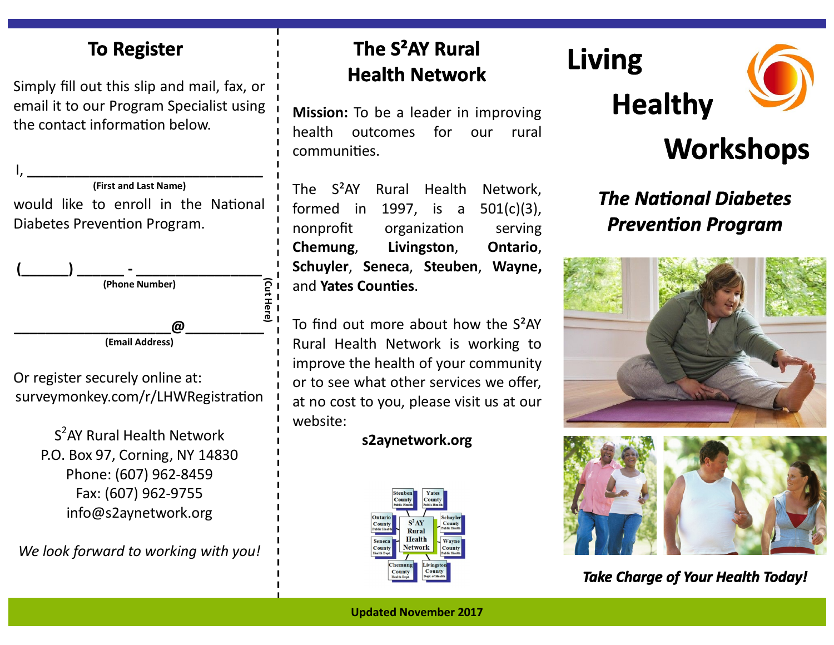#### **To Register**

Simply fill out this slip and mail, fax, or email it to our Program Specialist using the contact information below.

I, **\_\_\_\_\_\_\_\_\_\_\_\_\_\_\_\_\_\_\_\_\_\_\_\_\_\_\_\_\_\_ (First and Last Name)** would like to enroll in the National Diabetes Prevention Program.



Or register securely online at: surveymonkey.com/r/LHWRegistration

> S<sup>2</sup>AY Rural Health Network P.O. Box 97, Corning, NY 14830 Phone: (607) 962-8459 Fax: (607) 962-9755 info@s2aynetwork.org

*We look forward to working with you!*

### The S<sup>2</sup>AY Rural **Health Network**

**Mission:** To be a leader in improving health outcomes for our rural communities.

The S²AY Rural Health Network, formed in 1997, is a 501(c)(3), nonprofit organization serving **Chemung**, **Livingston**, **Ontario**, **Schuyler**, **Seneca**, **Steuben**, **Wayne,**  and **Yates Counties**.

To find out more about how the S²AY Rural Health Network is working to improve the health of your community or to see what other services we offer, at no cost to you, please visit us at our website:

#### **s2aynetwork.org**



# **Living**





## **Workshops**

## **The National Diabetes Prevention Program**





**Take Charge of Your Health Today!** 

**Updated November 2017**